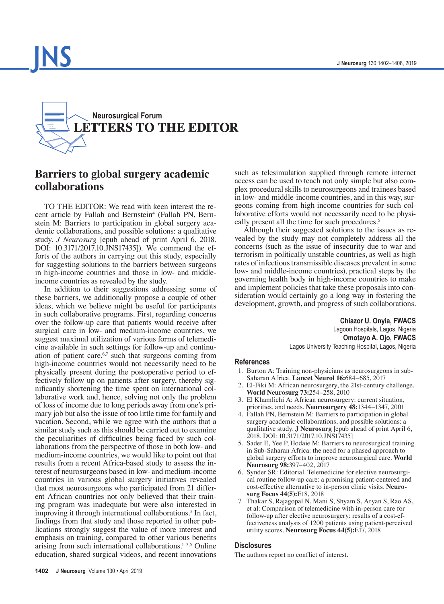



# **Barriers to global surgery academic collaborations**

TO THE EDITOR: We read with keen interest the re-cent article by Fallah and Bernstein<sup>4</sup> [\(Fallah PN, Bern](https://thejns.org/doi/abs/10.3171/2017.10.JNS17435)[stein M: Barriers to participation in global surgery aca](https://thejns.org/doi/abs/10.3171/2017.10.JNS17435)[demic collaborations, and possible solutions: a qualitative](https://thejns.org/doi/abs/10.3171/2017.10.JNS17435) study. *J Neurosurg* [\[epub ahead of print April 6, 2018.](https://thejns.org/doi/abs/10.3171/2017.10.JNS17435) [DOI: 10.3171/2017.10.JNS17435\]\).](https://thejns.org/doi/abs/10.3171/2017.10.JNS17435) We commend the efforts of the authors in carrying out this study, especially for suggesting solutions to the barriers between surgeons in high-income countries and those in low- and middleincome countries as revealed by the study.

In addition to their suggestions addressing some of these barriers, we additionally propose a couple of other ideas, which we believe might be useful for participants in such collaborative programs. First, regarding concerns over the follow-up care that patients would receive after surgical care in low- and medium-income countries, we suggest maximal utilization of various forms of telemedicine available in such settings for follow-up and continuation of patient care, $67$  such that surgeons coming from high-income countries would not necessarily need to be physically present during the postoperative period to effectively follow up on patients after surgery, thereby significantly shortening the time spent on international collaborative work and, hence, solving not only the problem of loss of income due to long periods away from one's primary job but also the issue of too little time for family and vacation. Second, while we agree with the authors that a similar study such as this should be carried out to examine the peculiarities of difficulties being faced by such collaborations from the perspective of those in both low- and medium-income countries, we would like to point out that results from a recent Africa-based study to assess the interest of neurosurgeons based in low- and medium-income countries in various global surgery initiatives revealed that most neurosurgeons who participated from 21 different African countries not only believed that their training program was inadequate but were also interested in improving it through international collaborations.<sup>5</sup> In fact, findings from that study and those reported in other publications strongly suggest the value of more interest and emphasis on training, compared to other various benefits arising from such international collaborations.1–3,5 Online education, shared surgical videos, and recent innovations

such as telesimulation supplied through remote internet access can be used to teach not only simple but also complex procedural skills to neurosurgeons and trainees based in low- and middle-income countries, and in this way, surgeons coming from high-income countries for such collaborative efforts would not necessarily need to be physically present all the time for such procedures.<sup>5</sup>

Although their suggested solutions to the issues as revealed by the study may not completely address all the concerns (such as the issue of insecurity due to war and terrorism in politically unstable countries, as well as high rates of infectious transmissible diseases prevalent in some low- and middle-income countries), practical steps by the governing health body in high-income countries to make and implement policies that take these proposals into consideration would certainly go a long way in fostering the development, growth, and progress of such collaborations.

> **Chiazor U. Onyia, FWACS** Lagoon Hospitals, Lagos, Nigeria **Omotayo A. Ojo, FWACS**  Lagos University Teaching Hospital, Lagos, Nigeria

#### **References**

- 1. Burton A: Training non-physicians as neurosurgeons in sub-Saharan Africa. **Lancet Neurol 16:**684–685, 2017
- 2. El-Fiki M: African neurosurgery, the 21st-century challenge. **World Neurosurg 73:**254–258, 2010
- 3. El Khamlichi A: African neurosurgery: current situation, priorities, and needs. **Neurosurgery 48:**1344–1347, 2001
- 4. Fallah PN, Bernstein M: Barriers to participation in global surgery academic collaborations, and possible solutions: a qualitative study. **J Neurosurg** [epub ahead of print April 6, 2018. DOI: 10.3171/2017.10.JNS17435]
- 5. Sader E, Yee P, Hodaie M: Barriers to neurosurgical training in Sub-Saharan Africa: the need for a phased approach to global surgery efforts to improve neurosurgical care. **World Neurosurg 98:**397–402, 2017
- 6. Synder SR: Editorial. Telemedicine for elective neurosurgical routine follow-up care: a promising patient-centered and cost-effective alternative to in-person clinic visits. **Neurosurg Focus 44(5):**E18, 2018
- 7. Thakar S, Rajagopal N, Mani S, Shyam S, Aryan S, Rao AS, et al: Comparison of telemedicine with in-person care for follow-up after elective neurosurgery: results of a cost-effectiveness analysis of 1200 patients using patient-perceived utility scores. **Neurosurg Focus 44(5):**E17, 2018

#### **Disclosures**

The authors report no conflict of interest.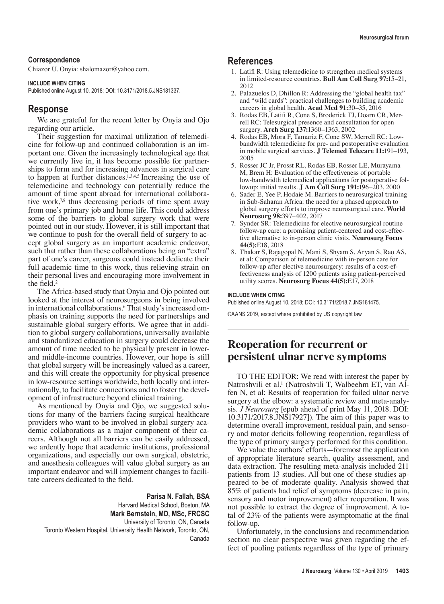#### **Correspondence**

Chiazor U. Onyia: shalomazor@yahoo.com.

#### **INCLUDE WHEN CITING**

Published online August 10, 2018; DOI: 10.3171/2018.5.JNS181337.

## **Response**

We are grateful for the recent letter by Onyia and Ojo regarding our article.

Their suggestion for maximal utilization of telemedicine for follow-up and continued collaboration is an important one. Given the increasingly technological age that we currently live in, it has become possible for partnerships to form and for increasing advances in surgical care to happen at further distances.<sup>1,3,4,5</sup> Increasing the use of telemedicine and technology can potentially reduce the amount of time spent abroad for international collaborative work,<sup>7,8</sup> thus decreasing periods of time spent away from one's primary job and home life. This could address some of the barriers to global surgery work that were pointed out in our study. However, it is still important that we continue to push for the overall field of surgery to accept global surgery as an important academic endeavor, such that rather than these collaborations being an "extra" part of one's career, surgeons could instead dedicate their full academic time to this work, thus relieving strain on their personal lives and encouraging more involvement in the field.<sup>2</sup>

The Africa-based study that Onyia and Ojo pointed out looked at the interest of neurosurgeons in being involved in international collaborations.6 That study's increased emphasis on training supports the need for partnerships and sustainable global surgery efforts. We agree that in addition to global surgery collaborations, universally available and standardized education in surgery could decrease the amount of time needed to be physically present in lowerand middle-income countries. However, our hope is still that global surgery will be increasingly valued as a career, and this will create the opportunity for physical presence in low-resource settings worldwide, both locally and internationally, to facilitate connections and to foster the development of infrastructure beyond clinical training.

As mentioned by Onyia and Ojo, we suggested solutions for many of the barriers facing surgical healthcare providers who want to be involved in global surgery academic collaborations as a major component of their careers. Although not all barriers can be easily addressed, we ardently hope that academic institutions, professional organizations, and especially our own surgical, obstetric, and anesthesia colleagues will value global surgery as an important endeavor and will implement changes to facilitate careers dedicated to the field.

**Parisa N. Fallah, BSA** Harvard Medical School, Boston, MA **Mark Bernstein, MD, MSc, FRCSC** University of Toronto, ON, Canada Toronto Western Hospital, University Health Network, Toronto, ON, Canada

# **References**

- 1. Latifi R: Using telemedicine to strengthen medical systems in limited-resource countries. **Bull Am Coll Surg 97:**15–21, 2012
- 2. Palazuelos D, Dhillon R: Addressing the "global health tax" and "wild cards": practical challenges to building academic careers in global health. **Acad Med 91:**30–35, 2016
- 3. Rodas EB, Latifi R, Cone S, Broderick TJ, Doarn CR, Merrell RC: Telesurgical presence and consultation for open surgery. **Arch Surg 137:**1360–1363, 2002
- 4. Rodas EB, Mora F, Tamariz F, Cone SW, Merrell RC: Lowbandwidth telemedicine for pre- and postoperative evaluation in mobile surgical services. **J Telemed Telecare 11:**191–193, 2005
- 5. Rosser JC Jr, Prosst RL, Rodas EB, Rosser LE, Murayama M, Brem H: Evaluation of the effectiveness of portable low-bandwidth telemedical applications for postoperative followup: initial results. **J Am Coll Surg 191:**196–203, 2000
- 6. Sader E, Yee P, Hodaie M. Barriers to neurosurgical training in Sub-Saharan Africa: the need for a phased approach to global surgery efforts to improve neurosurgical care. **World Neurosurg 98:**397–402, 2017
- 7. Synder SR: Telemedicine for elective neurosurgical routine follow-up care: a promising patient-centered and cost-effective alternative to in-person clinic visits. **Neurosurg Focus 44(5):**E18, 2018
- 8. Thakar S, Rajagopal N, Mani S, Shyam S, Aryan S, Rao AS, et al: Comparison of telemedicine with in-person care for follow-up after elective neurosurgery: results of a cost-effectiveness analysis of 1200 patients using patient-perceived utility scores. **Neurosurg Focus 44(5):**E17, 2018

#### **INCLUDE WHEN CITING**

Published online August 10, 2018; DOI: 10.3171/2018.7.JNS181475.

©AANS 2019, except where prohibited by US copyright law

# **Reoperation for recurrent or persistent ulnar nerve symptoms**

TO THE EDITOR: We read with interest the paper by Natroshvili et al.<sup>1</sup> [\(Natroshvili T, Walbeehm ET, van Al](https://thejns.org/doi/abs/10.3171/2017.8.JNS17927)[fen N, et al: Results of reoperation for failed ulnar nerve](https://thejns.org/doi/abs/10.3171/2017.8.JNS17927)  [surgery at the elbow: a systematic review and meta-analy](https://thejns.org/doi/abs/10.3171/2017.8.JNS17927)sis. *J Neurosurg* [\[epub ahead of print May 11, 2018. DOI:](https://thejns.org/doi/abs/10.3171/2017.8.JNS17927) [10.3171/2017.8.JNS17927\]\).](https://thejns.org/doi/abs/10.3171/2017.8.JNS17927) The aim of this paper was to determine overall improvement, residual pain, and sensory and motor deficits following reoperation, regardless of the type of primary surgery performed for this condition.

We value the authors' efforts—foremost the application of appropriate literature search, quality assessment, and data extraction. The resulting meta-analysis included 211 patients from 13 studies. All but one of these studies appeared to be of moderate quality. Analysis showed that 85% of patients had relief of symptoms (decrease in pain, sensory and motor improvement) after reoperation. It was not possible to extract the degree of improvement. A total of 23% of the patients were asymptomatic at the final follow-up.

Unfortunately, in the conclusions and recommendation section no clear perspective was given regarding the effect of pooling patients regardless of the type of primary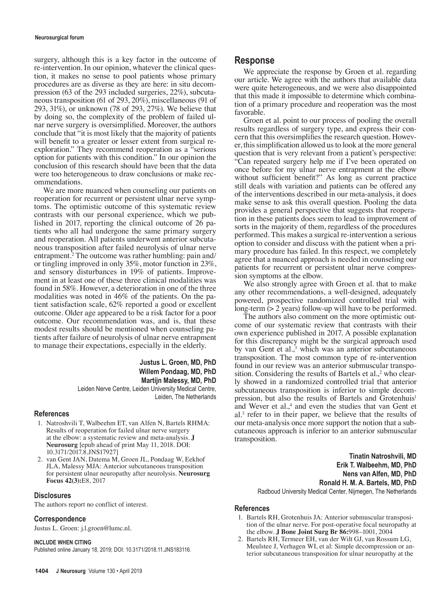surgery, although this is a key factor in the outcome of re-intervention. In our opinion, whatever the clinical question, it makes no sense to pool patients whose primary procedures are as diverse as they are here: in situ decompression (63 of the 293 included surgeries, 22%), subcutaneous transposition (61 of 293, 20%), miscellaneous (91 of 293, 31%), or unknown (78 of 293, 27%). We believe that by doing so, the complexity of the problem of failed ulnar nerve surgery is oversimplified. Moreover, the authors conclude that "it is most likely that the majority of patients will benefit to a greater or lesser extent from surgical reexploration." They recommend reoperation as a "serious option for patients with this condition." In our opinion the conclusion of this research should have been that the data were too heterogeneous to draw conclusions or make recommendations.

We are more nuanced when counseling our patients on reoperation for recurrent or persistent ulnar nerve symptoms. The optimistic outcome of this systematic review contrasts with our personal experience, which we published in 2017, reporting the clinical outcome of 26 patients who all had undergone the same primary surgery and reoperation. All patients underwent anterior subcutaneous transposition after failed neurolysis of ulnar nerve entrapment.2 The outcome was rather humbling: pain and/ or tingling improved in only 35%, motor function in 23%, and sensory disturbances in 19% of patients. Improvement in at least one of these three clinical modalities was found in 58%. However, a deterioration in one of the three modalities was noted in 46% of the patients. On the patient satisfaction scale, 62% reported a good or excellent outcome. Older age appeared to be a risk factor for a poor outcome. Our recommendation was, and is, that these modest results should be mentioned when counseling patients after failure of neurolysis of ulnar nerve entrapment to manage their expectations, especially in the elderly.

## **Justus L. Groen, MD, PhD Willem Pondaag, MD, PhD Martijn Malessy, MD, PhD**

Leiden Nerve Centre, Leiden University Medical Centre, Leiden, The Netherlands

#### **References**

- 1. Natroshvili T, Walbeehm ET, van Alfen N, Bartels RHMA: Results of reoperation for failed ulnar nerve surgery at the elbow: a systematic review and meta-analysis. **J Neurosurg** [epub ahead of print May 11, 2018. DOI: 10.3171/2017.8.JNS17927]
- 2. van Gent JAN, Datema M, Groen JL, Pondaag W, Eekhof JLA, Malessy MJA: Anterior subcutaneous transposition for persistent ulnar neuropathy after neurolysis. **Neurosurg Focus 42(3):**E8, 2017

#### **Disclosures**

The authors report no conflict of interest.

#### **Correspondence**

Justus L. Groen: j.l.groen@lumc.nl.

#### **INCLUDE WHEN CITING**

Published online January 18, 2019; DOI: 10.3171/2018.11.JNS183116.

## **Response**

We appreciate the response by Groen et al. regarding our article. We agree with the authors that available data were quite heterogeneous, and we were also disappointed that this made it impossible to determine which combination of a primary procedure and reoperation was the most favorable.

Groen et al. point to our process of pooling the overall results regardless of surgery type, and express their concern that this oversimplifies the research question. However, this simplification allowed us to look at the more general question that is very relevant from a patient's perspective: "Can repeated surgery help me if I've been operated on once before for my ulnar nerve entrapment at the elbow without sufficient benefit?" As long as current practice still deals with variation and patients can be offered any of the interventions described in our meta-analysis, it does make sense to ask this overall question. Pooling the data provides a general perspective that suggests that reoperation in these patients does seem to lead to improvement of sorts in the majority of them, regardless of the procedures performed. This makes a surgical re-intervention a serious option to consider and discuss with the patient when a primary procedure has failed. In this respect, we completely agree that a nuanced approach is needed in counseling our patients for recurrent or persistent ulnar nerve compression symptoms at the elbow.

We also strongly agree with Groen et al. that to make any other recommendations, a well-designed, adequately powered, prospective randomized controlled trial with long-term (> 2 years) follow-up will have to be performed.

The authors also comment on the more optimistic outcome of our systematic review that contrasts with their own experience published in 2017. A possible explanation for this discrepancy might be the surgical approach used by van Gent et al.,<sup>3</sup> which was an anterior subcutaneous transposition. The most common type of re-intervention found in our review was an anterior submuscular transposition. Considering the results of Bartels et al.,<sup>2</sup> who clearly showed in a randomized controlled trial that anterior subcutaneous transposition is inferior to simple decompression, but also the results of Bartels and Grotenhuis<sup>1</sup> and Wever et al.,<sup>4</sup> and even the studies that van Gent et al.3 refer to in their paper, we believe that the results of our meta-analysis once more support the notion that a subcutaneous approach is inferior to an anterior submuscular transposition.

> **Tinatin Natroshvili, MD Erik T. Walbeehm, MD, PhD Nens van Alfen, MD, PhD Ronald H. M. A. Bartels, MD, PhD** Radboud University Medical Center, Nijmegen, The Netherlands

### **References**

- 1. Bartels RH, Grotenhuis JA: Anterior submuscular transposition of the ulnar nerve. For post-operative focal neuropathy at the elbow. **J Bone Joint Surg Br 86:**998–1001, 2004
- 2. Bartels RH, Termeer EH, van der Wilt GJ, van Rossum LG, Meulstee J, Verhagen WI, et al: Simple decompression or anterior subcutaneous transposition for ulnar neuropathy at the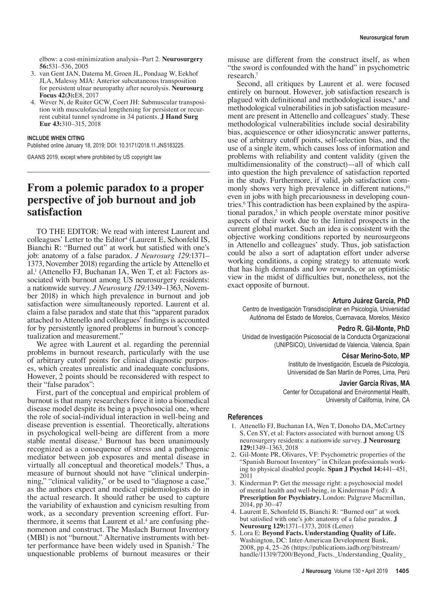elbow: a cost-minimization analysis–Part 2. **Neurosurgery 56:**531–536, 2005

- 3. van Gent JAN, Datema M, Groen JL, Pondaag W, Eekhof JLA, Malessy MJA: Anterior subcutaneous transposition for persistent ulnar neuropathy after neurolysis. **Neurosurg Focus 42(3):**E8, 2017
- 4. Wever N, de Ruiter GCW, Coert JH: Submuscular transposition with musculofascial lengthening for persistent or recurrent cubital tunnel syndrome in 34 patients. **J Hand Surg Eur 43:**310–315, 2018

#### **INCLUDE WHEN CITING**

Published online January 18, 2019; DOI: 10.3171/2018.11.JNS183225.

©AANS 2019, except where prohibited by US copyright law

# **From a polemic paradox to a proper perspective of job burnout and job satisfaction**

TO THE EDITOR: We read with interest Laurent and colleagues' Letter to the Editor<sup>4</sup> [\(Laurent E, Schonfeld IS,](https://thejns.org/doi/abs/10.3171/2018.2.JNS18430) [Bianchi R: "Burned out" at work but satisfied with one's](https://thejns.org/doi/abs/10.3171/2018.2.JNS18430) [job: anatomy of a false paradox.](https://thejns.org/doi/abs/10.3171/2018.2.JNS18430) *J Neurosurg 129:*1371– [1373, November 2018\)](https://thejns.org/doi/abs/10.3171/2018.2.JNS18430) regarding the article by Attenello et al.1 [\(Attenello FJ, Buchanan IA, Wen T, et al: Factors as](https://thejns.org/doi/abs/10.3171/2017.9.JNS17996)[sociated with burnout among US neurosurgery residents:](https://thejns.org/doi/abs/10.3171/2017.9.JNS17996) a nationwide survey. *J Neurosurg 129:*1349–1363, Novem[ber 2018\)](https://thejns.org/doi/abs/10.3171/2017.9.JNS17996) in which high prevalence in burnout and job satisfaction were simultaneously reported. Laurent et al. claim a false paradox and state that this "apparent paradox attached to Attenello and colleagues' findings is accounted for by persistently ignored problems in burnout's conceptualization and measurement."

We agree with Laurent et al. regarding the perennial problems in burnout research, particularly with the use of arbitrary cutoff points for clinical diagnostic purposes, which creates unrealistic and inadequate conclusions. However, 2 points should be reconsidered with respect to their "false paradox":

First, part of the conceptual and empirical problem of burnout is that many researchers force it into a biomedical disease model despite its being a psychosocial one, where the role of social-individual interaction in well-being and disease prevention is essential. Theoretically, alterations in psychological well-being are different from a more stable mental disease.<sup>3</sup> Burnout has been unanimously recognized as a consequence of stress and a pathogenic mediator between job exposures and mental disease in virtually all conceptual and theoretical models.<sup>9</sup> Thus, a measure of burnout should not have "clinical underpinning," "clinical validity," or be used to "diagnose a case," as the authors expect and medical epidemiologists do in the actual research. It should rather be used to capture the variability of exhaustion and cynicism resulting from work, as a secondary prevention screening effort. Furthermore, it seems that Laurent et al.<sup>4</sup> are confusing phenomenon and construct. The Maslach Burnout Inventory (MBI) is not "burnout." Alternative instruments with better performance have been widely used in Spanish.2 The unquestionable problems of burnout measures or their

misuse are different from the construct itself, as when "the sword is confounded with the hand" in psychometric research.7

Second, all critiques by Laurent et al. were focused entirely on burnout. However, job satisfaction research is plagued with definitional and methodological issues,<sup>8</sup> and methodological vulnerabilities in job satisfaction measurement are present in Attenello and colleagues' study. These methodological vulnerabilities include social desirability bias, acquiescence or other idiosyncratic answer patterns, use of arbitrary cutoff points, self-selection bias, and the use of a single item, which causes loss of information and problems with reliability and content validity (given the multidimensionality of the construct)—all of which call into question the high prevalence of satisfaction reported in the study. Furthermore, if valid, job satisfaction commonly shows very high prevalence in different nations,<sup>10</sup> even in jobs with high precariousness in developing countries.6 This contradiction has been explained by the aspirational paradox,<sup>5</sup> in which people overstate minor positive aspects of their work due to the limited prospects in the current global market. Such an idea is consistent with the objective working conditions reported by neurosurgeons in Attenello and colleagues' study. Thus, job satisfaction could be also a sort of adaptation effort under adverse working conditions, a coping strategy to attenuate work that has high demands and low rewards, or an optimistic view in the midst of difficulties but, nonetheless, not the exact opposite of burnout.

#### **Arturo Juárez García, PhD**

Centro de Investigación Transdisciplinar en Psicología, Universidad Autónoma del Estado de Morelos, Cuernavaca, Morelos, México

#### **Pedro R. Gil-Monte, PhD**

Unidad de Investigación Psicosocial de la Conducta Organizacional (UNIPSICO), Universidad de Valencia, Valencia, Spain

#### **César Merino-Soto, MP**

Instituto de Investigación, Escuela de Psicología, Universidad de San Martín de Porres, Lima, Perú

#### **Javier García Rivas, MA**

Center for Occupational and Environmental Health, University of California, Irvine, CA

### **References**

- 1. Attenello FJ, Buchanan IA, Wen T, Donoho DA, McCartney S, Cen SY, et al: Factors associated with burnout among US neurosurgery residents: a nationwide survey. **J Neurosurg 129:**1349–1363, 2018
- 2. Gil-Monte PR, Olivares, VF: Psychometric properties of the "Spanish Burnout Inventory" in Chilean professionals working to physical disabled people. **Span J Psychol 14:**441–451, 2011
- 3. Kinderman P: Get the message right: a psychosocial model of mental health and well-being, in Kinderman P (ed): **A Prescription for Psychiatry.** London: Palgrave Macmillan, 2014, pp 30–47
- 4. Laurent E, Schonfeld IS, Bianchi R: "Burned out" at work but satisfied with one's job: anatomy of a false paradox. **J Neurosurg 129:**1371–1373, 2018 (Letter)
- 5. Lora E: **Beyond Facts. Understanding Quality of Life.** Washington, DC: Inter-American Development Bank, 2008, pp 4, 25–26 (https://publications.iadb.org/bitstream/ handle/11319/7200/Beyond\_Facts.\_Understanding\_Quality\_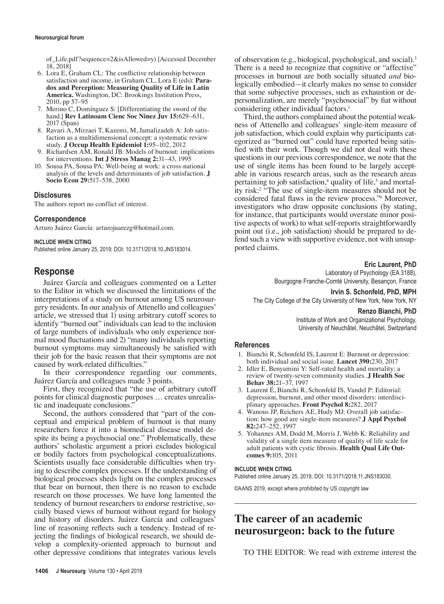of\_Life.pdf?sequence=2&isAllowed=y) [Accessed December 18, 2018]

- 6. Lora E, Graham CL: The conflictive relationship between satisfaction and income, in Graham CL, Lora E (eds): **Paradox and Perception: Measuring Quality of Life in Latin America.** Washington, DC: Brookings Institution Press, 2010, pp 57–95
- 7. Merino C, Domínguez S: [Differentiating the sword of the hand.] **Rev Latinoam Cienc Soc Ninez Juv 15:**629–631, 2017 (Span)
- 8. Ravari A, Mirzaei T, Kazemi, M, Jamalizadeh A: Job satisfaction as a multidimensional concept: a systematic review study. **J Occup Health Epidemiol 1:**95–102, 2012
- 9. Richardsen AM, Ronald JB: Models of burnout: implications for interventions. **Int J Stress Manag 2:**31–43, 1995
- 10. Sousa PA, Sousa PA: Well-being at work: a cross-national analysis of the levels and determinants of job satisfaction. **J Socio Econ 29:**517–538, 2000

## **Disclosures**

The authors report no conflict of interest.

## **Correspondence**

Arturo Juárez García: arturojuarezg@hotmail.com.

#### **INCLUDE WHEN CITING**

Published online January 25, 2019; DOI: 10.3171/2018.10.JNS183014.

# **Response**

Juárez García and colleagues commented on a Letter to the Editor in which we discussed the limitations of the interpretations of a study on burnout among US neurosurgery residents. In our analysis of Attenello and colleagues' article, we stressed that 1) using arbitrary cutoff scores to identify "burned out" individuals can lead to the inclusion of large numbers of individuals who only experience normal mood fluctuations and 2) "many individuals reporting burnout symptoms may simultaneously be satisfied with their job for the basic reason that their symptoms are not caused by work-related difficulties."

In their correspondence regarding our comments, Juárez García and colleagues made 3 points.

First, they recognized that "the use of arbitrary cutoff points for clinical diagnostic purposes … creates unrealistic and inadequate conclusions."

Second, the authors considered that "part of the conceptual and empirical problem of burnout is that many researchers force it into a biomedical disease model despite its being a psychosocial one." Problematically, these authors' scholastic argument a priori excludes biological or bodily factors from psychological conceptualizations. Scientists usually face considerable difficulties when trying to describe complex processes. If the understanding of biological processes sheds light on the complex processes that bear on burnout, then there is no reason to exclude research on those processes. We have long lamented the tendency of burnout researchers to endorse restrictive, socially biased views of burnout without regard for biology and history of disorders. Juárez García and colleagues' line of reasoning reflects such a tendency. Instead of rejecting the findings of biological research, we should develop a complexity-oriented approach to burnout and other depressive conditions that integrates various levels of observation (e.g., biological, psychological, and social).3 There is a need to recognize that cognitive or "affective" processes in burnout are both socially situated *and* biologically embodied—it clearly makes no sense to consider that some subjective processes, such as exhaustion or depersonalization, are merely "psychosocial" by fiat without considering other individual factors.<sup>1</sup>

Third, the authors complained about the potential weakness of Attenello and colleagues' single-item measure of job satisfaction, which could explain why participants categorized as "burned out" could have reported being satisfied with their work. Though we did not deal with these questions in our previous correspondence, we note that the use of single items has been found to be largely acceptable in various research areas, such as the research areas pertaining to job satisfaction,<sup>4</sup> quality of life,<sup>5</sup> and mortality risk:2 "The use of single-item measures should not be considered fatal flaws in the review process."<sup>4</sup> Moreover, investigators who draw opposite conclusions (by stating, for instance, that participants would overstate minor positive aspects of work) to what self-reports straightforwardly point out (i.e., job satisfaction) should be prepared to defend such a view with supportive evidence, not with unsupported claims.

## **Eric Laurent, PhD**

Laboratory of Psychology (EA 3188), Bourgogne Franche-Comté University, Besançon, France

**Irvin S. Schonfeld, PhD, MPH**

The City College of the City University of New York, New York, NY

#### **Renzo Bianchi, PhD**

Institute of Work and Organizational Psychology, University of Neuchâtel, Neuchâtel, Switzerland

## **References**

- 1. Bianchi R, Schonfeld IS, Laurent E: Burnout or depression: both individual and social issue. **Lancet 390:**230, 2017
- 2. Idler E, Benyamini Y: Self-rated health and mortality: a review of twenty-seven community studies. **J Health Soc Behav 38:**21–37, 1997
- 3. Laurent É, Bianchi R, Schonfeld IS, Vandel P: Editorial: depression, burnout, and other mood disorders: interdisciplinary approaches. **Front Psychol 8:**282, 2017
- 4. Wanous JP, Reichers AE, Hudy MJ: Overall job satisfaction: how good are single-item measures? **J Appl Psychol 82:**247–252, 1997
- 5. Yohannes AM, Dodd M, Morris J, Webb K: Reliability and validity of a single item measure of quality of life scale for adult patients with cystic fibrosis. **Health Qual Life Outcomes 9:**105, 2011

#### **INCLUDE WHEN CITING**

Published online January 25, 2019; DOI: 10.3171/2018.11.JNS183030.

©AANS 2019, except where prohibited by US copyright law

# **The career of an academic neurosurgeon: back to the future**

TO THE EDITOR: We read with extreme interest the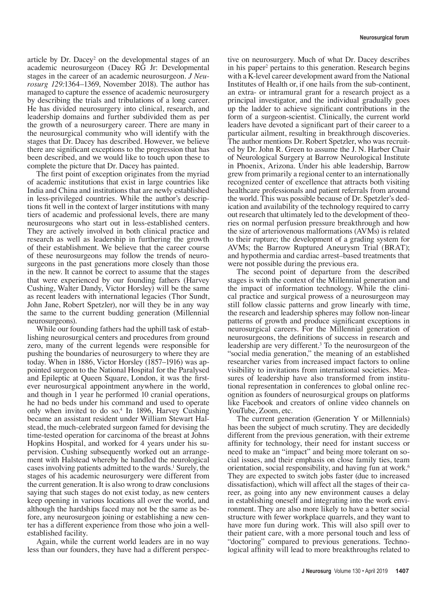article by Dr. Dacey<sup>2</sup> on the developmental stages of an academic neurosurgeon [\(Dacey RG Jr: Developmental](https://thejns.org/doi/abs/10.3171/2018.4.JNS18621) [stages in the career of an academic neurosurgeon.](https://thejns.org/doi/abs/10.3171/2018.4.JNS18621) *J Neurosurg 129:*[1364–1369, November 2018](https://thejns.org/doi/abs/10.3171/2018.4.JNS18621)). The author has managed to capture the essence of academic neurosurgery by describing the trials and tribulations of a long career. He has divided neurosurgery into clinical, research, and leadership domains and further subdivided them as per the growth of a neurosurgery career. There are many in the neurosurgical community who will identify with the stages that Dr. Dacey has described. However, we believe there are significant exceptions to the progression that has been described, and we would like to touch upon these to complete the picture that Dr. Dacey has painted.

The first point of exception originates from the myriad of academic institutions that exist in large countries like India and China and institutions that are newly established in less-privileged countries. While the author's descriptions fit well in the context of larger institutions with many tiers of academic and professional levels, there are many neurosurgeons who start out in less-established centers. They are actively involved in both clinical practice and research as well as leadership in furthering the growth of their establishment. We believe that the career course of these neurosurgeons may follow the trends of neurosurgeons in the past generations more closely than those in the new. It cannot be correct to assume that the stages that were experienced by our founding fathers (Harvey Cushing, Walter Dandy, Victor Horsley) will be the same as recent leaders with international legacies (Thor Sundt, John Jane, Robert Spetzler), nor will they be in any way the same to the current budding generation (Millennial neurosurgeons).

While our founding fathers had the uphill task of establishing neurosurgical centers and procedures from ground zero, many of the current legends were responsible for pushing the boundaries of neurosurgery to where they are today. When in 1886, Victor Horsley (1857–1916) was appointed surgeon to the National Hospital for the Paralysed and Epileptic at Queen Square, London, it was the firstever neurosurgical appointment anywhere in the world, and though in 1 year he performed 10 cranial operations, he had no beds under his command and used to operate only when invited to do so.4 In 1896, Harvey Cushing became an assistant resident under William Stewart Halstead, the much-celebrated surgeon famed for devising the time-tested operation for carcinoma of the breast at Johns Hopkins Hospital, and worked for 4 years under his supervision. Cushing subsequently worked out an arrangement with Halstead whereby he handled the neurological cases involving patients admitted to the wards.<sup>1</sup> Surely, the stages of his academic neurosurgery were different from the current generation. It is also wrong to draw conclusions saying that such stages do not exist today, as new centers keep opening in various locations all over the world, and although the hardships faced may not be the same as before, any neurosurgeon joining or establishing a new center has a different experience from those who join a wellestablished facility.

Again, while the current world leaders are in no way less than our founders, they have had a different perspec-

tive on neurosurgery. Much of what Dr. Dacey describes in his paper<sup>2</sup> pertains to this generation. Research begins with a K-level career development award from the National Institutes of Health or, if one hails from the sub-continent, an extra- or intramural grant for a research project as a principal investigator, and the individual gradually goes up the ladder to achieve significant contributions in the form of a surgeon-scientist. Clinically, the current world leaders have devoted a significant part of their career to a particular ailment, resulting in breakthrough discoveries. The author mentions Dr. Robert Spetzler, who was recruited by Dr. John R. Green to assume the J. N. Harber Chair of Neurological Surgery at Barrow Neurological Institute in Phoenix, Arizona. Under his able leadership, Barrow grew from primarily a regional center to an internationally recognized center of excellence that attracts both visiting healthcare professionals and patient referrals from around the world. This was possible because of Dr. Spetzler's dedication and availability of the technology required to carry out research that ultimately led to the development of theories on normal perfusion pressure breakthrough and how the size of arteriovenous malformations (AVMs) is related to their rupture; the development of a grading system for AVMs; the Barrow Ruptured Aneurysm Trial (BRAT); and hypothermia and cardiac arrest–based treatments that were not possible during the previous era.

The second point of departure from the described stages is with the context of the Millennial generation and the impact of information technology. While the clinical practice and surgical prowess of a neurosurgeon may still follow classic patterns and grow linearly with time, the research and leadership spheres may follow non-linear patterns of growth and produce significant exceptions in neurosurgical careers. For the Millennial generation of neurosurgeons, the definitions of success in research and leadership are very different.<sup>3</sup> To the neurosurgeon of the "social media generation," the meaning of an established researcher varies from increased impact factors to online visibility to invitations from international societies. Measures of leadership have also transformed from institutional representation in conferences to global online recognition as founders of neurosurgical groups on platforms like Facebook and creators of online video channels on YouTube, Zoom, etc.

The current generation (Generation Y or Millennials) has been the subject of much scrutiny. They are decidedly different from the previous generation, with their extreme affinity for technology, their need for instant success or need to make an "impact" and being more tolerant on social issues, and their emphasis on close family ties, team orientation, social responsibility, and having fun at work.<sup>6</sup> They are expected to switch jobs faster (due to increased dissatisfaction), which will affect all the stages of their career, as going into any new environment causes a delay in establishing oneself and integrating into the work environment. They are also more likely to have a better social structure with fewer workplace quarrels, and they want to have more fun during work. This will also spill over to their patient care, with a more personal touch and less of "doctoring" compared to previous generations. Technological affinity will lead to more breakthroughs related to